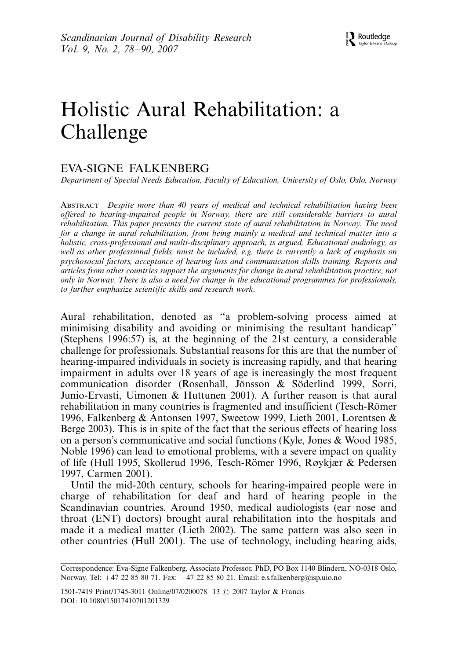# Holistic Aural Rehabilitation: a Challenge

# EVA-SIGNE FALKENBERG

Department of Special Needs Education, Faculty of Education, University of Oslo, Oslo, Norway

ABSTRACT Despite more than 40 years of medical and technical rehabilitation having been offered to hearing-impaired people in Norway, there are still considerable barriers to aural rehabilitation. This paper presents the current state of aural rehabilitation in Norway. The need for a change in aural rehabilitation, from being mainly a medical and technical matter into a holistic, cross-professional and multi-disciplinary approach, is argued. Educational audiology, as well as other professional fields, must be included, e.g. there is currently a lack of emphasis on psychosocial factors, acceptance of hearing loss and communication skills training. Reports and articles from other countries support the arguments for change in aural rehabilitation practice, not only in Norway. There is also a need for change in the educational programmes for professionals, to further emphasize scientific skills and research work.

Aural rehabilitation, denoted as ''a problem-solving process aimed at minimising disability and avoiding or minimising the resultant handicap'' (Stephens 1996:57) is, at the beginning of the 21st century, a considerable challenge for professionals. Substantial reasons for this are that the number of hearing-impaired individuals in society is increasing rapidly, and that hearing impairment in adults over 18 years of age is increasingly the most frequent communication disorder (Rosenhall, Jönsson & Söderlind 1999, Sorri, Junio-Ervasti, Uimonen & Huttunen 2001). A further reason is that aural rehabilitation in many countries is fragmented and insufficient (Tesch-Römer 1996, Falkenberg & Antonsen 1997, Sweetow 1999, Lieth 2001, Lorentsen & Berge 2003). This is in spite of the fact that the serious effects of hearing loss on a person's communicative and social functions (Kyle, Jones & Wood 1985, Noble 1996) can lead to emotional problems, with a severe impact on quality of life (Hull 1995, Skollerud 1996, Tesch-Römer 1996, Røykjær & Pedersen 1997, Carmen 2001).

Until the mid-20th century, schools for hearing-impaired people were in charge of rehabilitation for deaf and hard of hearing people in the Scandinavian countries. Around 1950, medical audiologists (ear nose and throat (ENT) doctors) brought aural rehabilitation into the hospitals and made it a medical matter (Lieth 2002). The same pattern was also seen in other countries (Hull 2001). The use of technology, including hearing aids,

1501-7419 Print/1745-3011 Online/07/0200078-13 © 2007 Taylor & Francis DOI: 10.1080/15017410701201329

Correspondence: Eva-Signe Falkenberg, Associate Professor, PhD, PO Box 1140 Blindern, NO-0318 Oslo, Norway. Tel:  $+47$  22 85 80 71. Fax:  $+47$  22 85 80 21. Email: e.s.falkenberg@isp.uio.no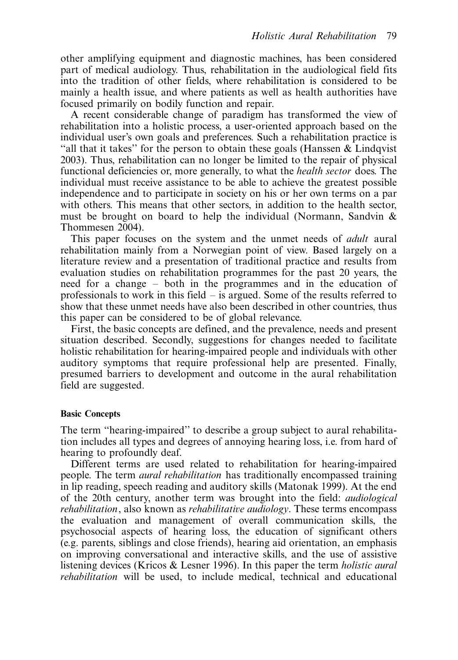other amplifying equipment and diagnostic machines, has been considered part of medical audiology. Thus, rehabilitation in the audiological field fits into the tradition of other fields, where rehabilitation is considered to be mainly a health issue, and where patients as well as health authorities have focused primarily on bodily function and repair.

A recent considerable change of paradigm has transformed the view of rehabilitation into a holistic process, a user-oriented approach based on the individual user's own goals and preferences. Such a rehabilitation practice is "all that it takes" for the person to obtain these goals (Hanssen  $\&$  Lindqvist 2003). Thus, rehabilitation can no longer be limited to the repair of physical functional deficiencies or, more generally, to what the health sector does. The individual must receive assistance to be able to achieve the greatest possible independence and to participate in society on his or her own terms on a par with others. This means that other sectors, in addition to the health sector, must be brought on board to help the individual (Normann, Sandvin & Thommesen 2004).

This paper focuses on the system and the unmet needs of *adult* aural rehabilitation mainly from a Norwegian point of view. Based largely on a literature review and a presentation of traditional practice and results from evaluation studies on rehabilitation programmes for the past 20 years, the need for a change - both in the programmes and in the education of professionals to work in this field – is argued. Some of the results referred to show that these unmet needs have also been described in other countries, thus this paper can be considered to be of global relevance.

First, the basic concepts are defined, and the prevalence, needs and present situation described. Secondly, suggestions for changes needed to facilitate holistic rehabilitation for hearing-impaired people and individuals with other auditory symptoms that require professional help are presented. Finally, presumed barriers to development and outcome in the aural rehabilitation field are suggested.

## Basic Concepts

The term ''hearing-impaired'' to describe a group subject to aural rehabilitation includes all types and degrees of annoying hearing loss, i.e. from hard of hearing to profoundly deaf.

Different terms are used related to rehabilitation for hearing-impaired people. The term aural rehabilitation has traditionally encompassed training in lip reading, speech reading and auditory skills (Matonak 1999). At the end of the 20th century, another term was brought into the field: audiological rehabilitation, also known as rehabilitative audiology. These terms encompass the evaluation and management of overall communication skills, the psychosocial aspects of hearing loss, the education of significant others (e.g. parents, siblings and close friends), hearing aid orientation, an emphasis on improving conversational and interactive skills, and the use of assistive listening devices (Kricos & Lesner 1996). In this paper the term holistic aural rehabilitation will be used, to include medical, technical and educational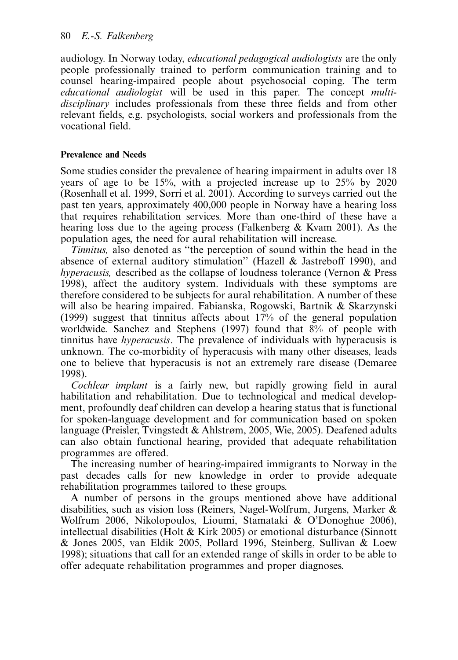audiology. In Norway today, educational pedagogical audiologists are the only people professionally trained to perform communication training and to counsel hearing-impaired people about psychosocial coping. The term educational audiologist will be used in this paper. The concept multidisciplinary includes professionals from these three fields and from other relevant fields, e.g. psychologists, social workers and professionals from the vocational field.

## Prevalence and Needs

Some studies consider the prevalence of hearing impairment in adults over 18 years of age to be 15%, with a projected increase up to 25% by 2020 (Rosenhall et al. 1999, Sorri et al. 2001). According to surveys carried out the past ten years, approximately 400,000 people in Norway have a hearing loss that requires rehabilitation services. More than one-third of these have a hearing loss due to the ageing process (Falkenberg & Kvam 2001). As the population ages, the need for aural rehabilitation will increase.

Tinnitus, also denoted as ''the perception of sound within the head in the absence of external auditory stimulation'' (Hazell & Jastreboff 1990), and hyperacusis, described as the collapse of loudness tolerance (Vernon & Press 1998), affect the auditory system. Individuals with these symptoms are therefore considered to be subjects for aural rehabilitation. A number of these will also be hearing impaired. Fabianska, Rogowski, Bartnik & Skarzynski (1999) suggest that tinnitus affects about 17% of the general population worldwide. Sanchez and Stephens (1997) found that 8% of people with tinnitus have hyperacusis. The prevalence of individuals with hyperacusis is unknown. The co-morbidity of hyperacusis with many other diseases, leads one to believe that hyperacusis is not an extremely rare disease (Demaree 1998).

Cochlear implant is a fairly new, but rapidly growing field in aural habilitation and rehabilitation. Due to technological and medical development, profoundly deaf children can develop a hearing status that is functional for spoken-language development and for communication based on spoken language (Preisler, Tvingstedt & Ahlstrøm, 2005, Wie, 2005). Deafened adults can also obtain functional hearing, provided that adequate rehabilitation programmes are offered.

The increasing number of hearing-impaired immigrants to Norway in the past decades calls for new knowledge in order to provide adequate rehabilitation programmes tailored to these groups.

A number of persons in the groups mentioned above have additional disabilities, such as vision loss (Reiners, Nagel-Wolfrum, Jurgens, Marker & Wolfrum 2006, Nikolopoulos, Lioumi, Stamataki & O'Donoghue 2006), intellectual disabilities (Holt & Kirk 2005) or emotional disturbance (Sinnott & Jones 2005, van Eldik 2005, Pollard 1996, Steinberg, Sullivan & Loew 1998); situations that call for an extended range of skills in order to be able to offer adequate rehabilitation programmes and proper diagnoses.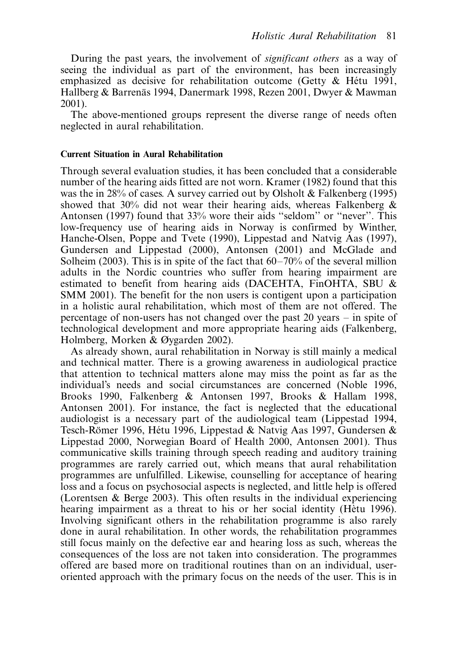During the past years, the involvement of significant others as a way of seeing the individual as part of the environment, has been increasingly emphasized as decisive for rehabilitation outcome (Getty  $\&$  Hétu 1991, Hallberg & Barrenäs 1994, Danermark 1998, Rezen 2001, Dwyer & Mawman 2001).

The above-mentioned groups represent the diverse range of needs often neglected in aural rehabilitation.

## Current Situation in Aural Rehabilitation

Through several evaluation studies, it has been concluded that a considerable number of the hearing aids fitted are not worn. Kramer (1982) found that this was the in 28% of cases. A survey carried out by Olsholt & Falkenberg (1995) showed that 30% did not wear their hearing aids, whereas Falkenberg & Antonsen (1997) found that 33% wore their aids ''seldom'' or ''never''. This low-frequency use of hearing aids in Norway is confirmed by Winther, Hanche-Olsen, Poppe and Tvete (1990), Lippestad and Natvig Aas (1997), Gundersen and Lippestad (2000), Antonsen (2001) and McGlade and Solheim (2003). This is in spite of the fact that 60–70% of the several million adults in the Nordic countries who suffer from hearing impairment are estimated to benefit from hearing aids (DACEHTA, FinOHTA, SBU & SMM 2001). The benefit for the non users is contigent upon a participation in a holistic aural rehabilitation, which most of them are not offered. The percentage of non-users has not changed over the past 20 years - in spite of technological development and more appropriate hearing aids (Falkenberg, Holmberg, Morken & Øygarden 2002).

As already shown, aural rehabilitation in Norway is still mainly a medical and technical matter. There is a growing awareness in audiological practice that attention to technical matters alone may miss the point as far as the individual's needs and social circumstances are concerned (Noble 1996, Brooks 1990, Falkenberg & Antonsen 1997, Brooks & Hallam 1998, Antonsen 2001). For instance, the fact is neglected that the educational audiologist is a necessary part of the audiological team (Lippestad 1994, Tesch-Römer 1996, Hétu 1996, Lippestad & Natvig Aas 1997, Gundersen & Lippestad 2000, Norwegian Board of Health 2000, Antonsen 2001). Thus communicative skills training through speech reading and auditory training programmes are rarely carried out, which means that aural rehabilitation programmes are unfulfilled. Likewise, counselling for acceptance of hearing loss and a focus on psychosocial aspects is neglected, and little help is offered (Lorentsen & Berge 2003). This often results in the individual experiencing hearing impairment as a threat to his or her social identity (Hètu 1996). Involving significant others in the rehabilitation programme is also rarely done in aural rehabilitation. In other words, the rehabilitation programmes still focus mainly on the defective ear and hearing loss as such, whereas the consequences of the loss are not taken into consideration. The programmes offered are based more on traditional routines than on an individual, useroriented approach with the primary focus on the needs of the user. This is in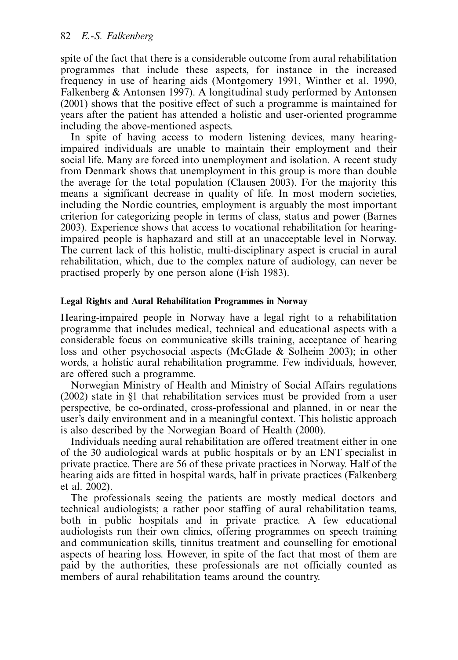spite of the fact that there is a considerable outcome from aural rehabilitation programmes that include these aspects, for instance in the increased frequency in use of hearing aids (Montgomery 1991, Winther et al. 1990, Falkenberg & Antonsen 1997). A longitudinal study performed by Antonsen (2001) shows that the positive effect of such a programme is maintained for years after the patient has attended a holistic and user-oriented programme including the above-mentioned aspects.

In spite of having access to modern listening devices, many hearingimpaired individuals are unable to maintain their employment and their social life. Many are forced into unemployment and isolation. A recent study from Denmark shows that unemployment in this group is more than double the average for the total population (Clausen 2003). For the majority this means a significant decrease in quality of life. In most modern societies, including the Nordic countries, employment is arguably the most important criterion for categorizing people in terms of class, status and power (Barnes 2003). Experience shows that access to vocational rehabilitation for hearingimpaired people is haphazard and still at an unacceptable level in Norway. The current lack of this holistic, multi-disciplinary aspect is crucial in aural rehabilitation, which, due to the complex nature of audiology, can never be practised properly by one person alone (Fish 1983).

## Legal Rights and Aural Rehabilitation Programmes in Norway

Hearing-impaired people in Norway have a legal right to a rehabilitation programme that includes medical, technical and educational aspects with a considerable focus on communicative skills training, acceptance of hearing loss and other psychosocial aspects (McGlade & Solheim 2003); in other words, a holistic aural rehabilitation programme. Few individuals, however, are offered such a programme.

Norwegian Ministry of Health and Ministry of Social Affairs regulations (2002) state in §1 that rehabilitation services must be provided from a user perspective, be co-ordinated, cross-professional and planned, in or near the user's daily environment and in a meaningful context. This holistic approach is also described by the Norwegian Board of Health (2000).

Individuals needing aural rehabilitation are offered treatment either in one of the 30 audiological wards at public hospitals or by an ENT specialist in private practice. There are 56 of these private practices in Norway. Half of the hearing aids are fitted in hospital wards, half in private practices (Falkenberg et al. 2002).

The professionals seeing the patients are mostly medical doctors and technical audiologists; a rather poor staffing of aural rehabilitation teams, both in public hospitals and in private practice. A few educational audiologists run their own clinics, offering programmes on speech training and communication skills, tinnitus treatment and counselling for emotional aspects of hearing loss. However, in spite of the fact that most of them are paid by the authorities, these professionals are not officially counted as members of aural rehabilitation teams around the country.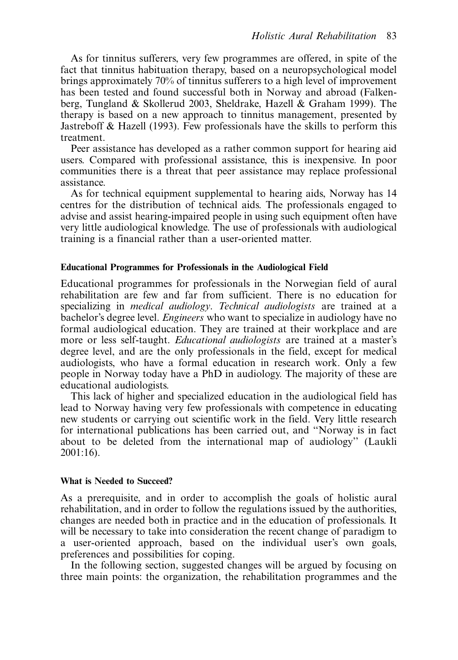As for tinnitus sufferers, very few programmes are offered, in spite of the fact that tinnitus habituation therapy, based on a neuropsychological model brings approximately 70% of tinnitus sufferers to a high level of improvement has been tested and found successful both in Norway and abroad (Falkenberg, Tungland & Skollerud 2003, Sheldrake, Hazell & Graham 1999). The therapy is based on a new approach to tinnitus management, presented by Jastreboff & Hazell (1993). Few professionals have the skills to perform this treatment.

Peer assistance has developed as a rather common support for hearing aid users. Compared with professional assistance, this is inexpensive. In poor communities there is a threat that peer assistance may replace professional assistance.

As for technical equipment supplemental to hearing aids, Norway has 14 centres for the distribution of technical aids. The professionals engaged to advise and assist hearing-impaired people in using such equipment often have very little audiological knowledge. The use of professionals with audiological training is a financial rather than a user-oriented matter.

## Educational Programmes for Professionals in the Audiological Field

Educational programmes for professionals in the Norwegian field of aural rehabilitation are few and far from sufficient. There is no education for specializing in *medical audiology. Technical audiologists* are trained at a bachelor's degree level. Engineers who want to specialize in audiology have no formal audiological education. They are trained at their workplace and are more or less self-taught. *Educational audiologists* are trained at a master's degree level, and are the only professionals in the field, except for medical audiologists, who have a formal education in research work. Only a few people in Norway today have a PhD in audiology. The majority of these are educational audiologists.

This lack of higher and specialized education in the audiological field has lead to Norway having very few professionals with competence in educating new students or carrying out scientific work in the field. Very little research for international publications has been carried out, and ''Norway is in fact about to be deleted from the international map of audiology'' (Laukli 2001:16).

#### What is Needed to Succeed?

As a prerequisite, and in order to accomplish the goals of holistic aural rehabilitation, and in order to follow the regulations issued by the authorities, changes are needed both in practice and in the education of professionals. It will be necessary to take into consideration the recent change of paradigm to a user-oriented approach, based on the individual user's own goals, preferences and possibilities for coping.

In the following section, suggested changes will be argued by focusing on three main points: the organization, the rehabilitation programmes and the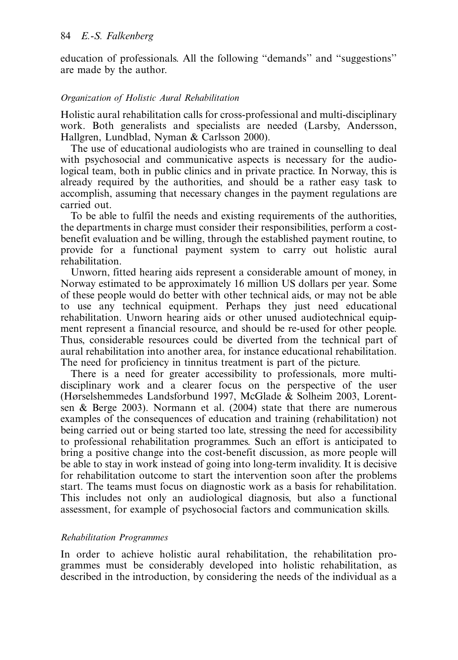education of professionals. All the following ''demands'' and ''suggestions'' are made by the author.

# Organization of Holistic Aural Rehabilitation

Holistic aural rehabilitation calls for cross-professional and multi-disciplinary work. Both generalists and specialists are needed (Larsby, Andersson, Hallgren, Lundblad, Nyman & Carlsson 2000).

The use of educational audiologists who are trained in counselling to deal with psychosocial and communicative aspects is necessary for the audiological team, both in public clinics and in private practice. In Norway, this is already required by the authorities, and should be a rather easy task to accomplish, assuming that necessary changes in the payment regulations are carried out.

To be able to fulfil the needs and existing requirements of the authorities, the departments in charge must consider their responsibilities, perform a costbenefit evaluation and be willing, through the established payment routine, to provide for a functional payment system to carry out holistic aural rehabilitation.

Unworn, fitted hearing aids represent a considerable amount of money, in Norway estimated to be approximately 16 million US dollars per year. Some of these people would do better with other technical aids, or may not be able to use any technical equipment. Perhaps they just need educational rehabilitation. Unworn hearing aids or other unused audiotechnical equipment represent a financial resource, and should be re-used for other people. Thus, considerable resources could be diverted from the technical part of aural rehabilitation into another area, for instance educational rehabilitation. The need for proficiency in tinnitus treatment is part of the picture.

There is a need for greater accessibility to professionals, more multidisciplinary work and a clearer focus on the perspective of the user (Hørselshemmedes Landsforbund 1997, McGlade & Solheim 2003, Lorentsen & Berge 2003). Normann et al. (2004) state that there are numerous examples of the consequences of education and training (rehabilitation) not being carried out or being started too late, stressing the need for accessibility to professional rehabilitation programmes. Such an effort is anticipated to bring a positive change into the cost-benefit discussion, as more people will be able to stay in work instead of going into long-term invalidity. It is decisive for rehabilitation outcome to start the intervention soon after the problems start. The teams must focus on diagnostic work as a basis for rehabilitation. This includes not only an audiological diagnosis, but also a functional assessment, for example of psychosocial factors and communication skills.

# Rehabilitation Programmes

In order to achieve holistic aural rehabilitation, the rehabilitation programmes must be considerably developed into holistic rehabilitation, as described in the introduction, by considering the needs of the individual as a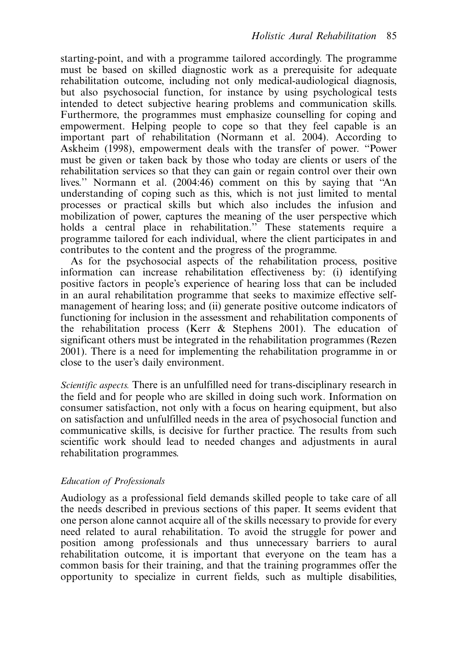starting-point, and with a programme tailored accordingly. The programme must be based on skilled diagnostic work as a prerequisite for adequate rehabilitation outcome, including not only medical-audiological diagnosis, but also psychosocial function, for instance by using psychological tests intended to detect subjective hearing problems and communication skills. Furthermore, the programmes must emphasize counselling for coping and empowerment. Helping people to cope so that they feel capable is an important part of rehabilitation (Normann et al. 2004). According to Askheim (1998), empowerment deals with the transfer of power. ''Power must be given or taken back by those who today are clients or users of the rehabilitation services so that they can gain or regain control over their own lives.'' Normann et al. (2004:46) comment on this by saying that ''An understanding of coping such as this, which is not just limited to mental processes or practical skills but which also includes the infusion and mobilization of power, captures the meaning of the user perspective which holds a central place in rehabilitation." These statements require a programme tailored for each individual, where the client participates in and contributes to the content and the progress of the programme.

As for the psychosocial aspects of the rehabilitation process, positive information can increase rehabilitation effectiveness by: (i) identifying positive factors in people's experience of hearing loss that can be included in an aural rehabilitation programme that seeks to maximize effective selfmanagement of hearing loss; and (ii) generate positive outcome indicators of functioning for inclusion in the assessment and rehabilitation components of the rehabilitation process (Kerr & Stephens 2001). The education of significant others must be integrated in the rehabilitation programmes (Rezen 2001). There is a need for implementing the rehabilitation programme in or close to the user's daily environment.

Scientific aspects. There is an unfulfilled need for trans-disciplinary research in the field and for people who are skilled in doing such work. Information on consumer satisfaction, not only with a focus on hearing equipment, but also on satisfaction and unfulfilled needs in the area of psychosocial function and communicative skills, is decisive for further practice. The results from such scientific work should lead to needed changes and adjustments in aural rehabilitation programmes.

## Education of Professionals

Audiology as a professional field demands skilled people to take care of all the needs described in previous sections of this paper. It seems evident that one person alone cannot acquire all of the skills necessary to provide for every need related to aural rehabilitation. To avoid the struggle for power and position among professionals and thus unnecessary barriers to aural rehabilitation outcome, it is important that everyone on the team has a common basis for their training, and that the training programmes offer the opportunity to specialize in current fields, such as multiple disabilities,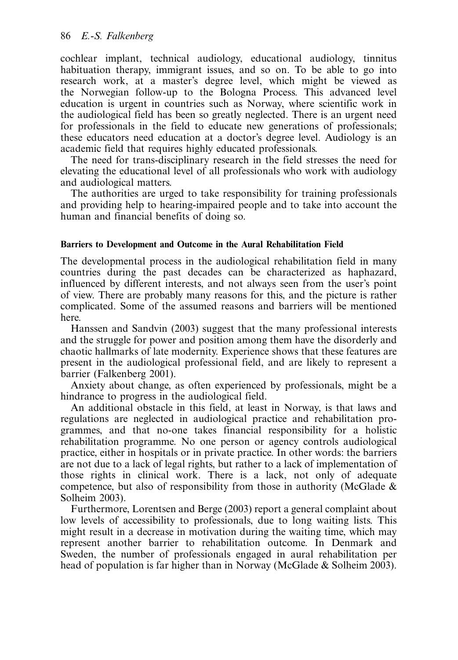cochlear implant, technical audiology, educational audiology, tinnitus habituation therapy, immigrant issues, and so on. To be able to go into research work, at a master's degree level, which might be viewed as the Norwegian follow-up to the Bologna Process. This advanced level education is urgent in countries such as Norway, where scientific work in the audiological field has been so greatly neglected. There is an urgent need for professionals in the field to educate new generations of professionals; these educators need education at a doctor's degree level. Audiology is an academic field that requires highly educated professionals.

The need for trans-disciplinary research in the field stresses the need for elevating the educational level of all professionals who work with audiology and audiological matters.

The authorities are urged to take responsibility for training professionals and providing help to hearing-impaired people and to take into account the human and financial benefits of doing so.

## Barriers to Development and Outcome in the Aural Rehabilitation Field

The developmental process in the audiological rehabilitation field in many countries during the past decades can be characterized as haphazard, influenced by different interests, and not always seen from the user's point of view. There are probably many reasons for this, and the picture is rather complicated. Some of the assumed reasons and barriers will be mentioned here.

Hanssen and Sandvin (2003) suggest that the many professional interests and the struggle for power and position among them have the disorderly and chaotic hallmarks of late modernity. Experience shows that these features are present in the audiological professional field, and are likely to represent a barrier (Falkenberg 2001).

Anxiety about change, as often experienced by professionals, might be a hindrance to progress in the audiological field.

An additional obstacle in this field, at least in Norway, is that laws and regulations are neglected in audiological practice and rehabilitation programmes, and that no-one takes financial responsibility for a holistic rehabilitation programme. No one person or agency controls audiological practice, either in hospitals or in private practice. In other words: the barriers are not due to a lack of legal rights, but rather to a lack of implementation of those rights in clinical work. There is a lack, not only of adequate competence, but also of responsibility from those in authority (McGlade  $\&$ Solheim 2003).

Furthermore, Lorentsen and Berge (2003) report a general complaint about low levels of accessibility to professionals, due to long waiting lists. This might result in a decrease in motivation during the waiting time, which may represent another barrier to rehabilitation outcome. In Denmark and Sweden, the number of professionals engaged in aural rehabilitation per head of population is far higher than in Norway (McGlade & Solheim 2003).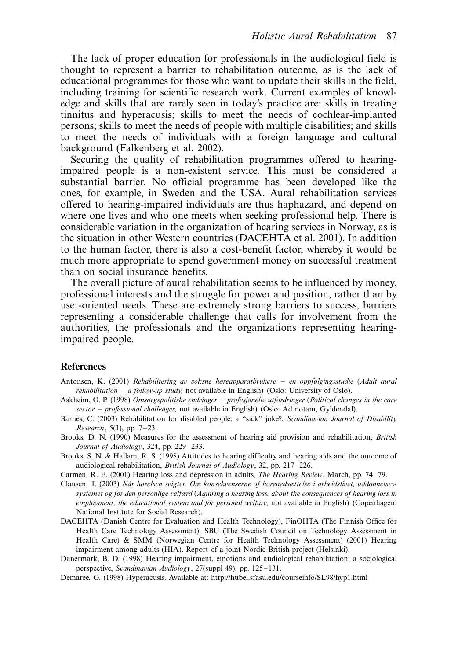The lack of proper education for professionals in the audiological field is thought to represent a barrier to rehabilitation outcome, as is the lack of educational programmes for those who want to update their skills in the field, including training for scientific research work. Current examples of knowledge and skills that are rarely seen in today's practice are: skills in treating tinnitus and hyperacusis; skills to meet the needs of cochlear-implanted persons; skills to meet the needs of people with multiple disabilities; and skills to meet the needs of individuals with a foreign language and cultural background (Falkenberg et al. 2002).

Securing the quality of rehabilitation programmes offered to hearingimpaired people is a non-existent service. This must be considered a substantial barrier. No official programme has been developed like the ones, for example, in Sweden and the USA. Aural rehabilitation services offered to hearing-impaired individuals are thus haphazard, and depend on where one lives and who one meets when seeking professional help. There is considerable variation in the organization of hearing services in Norway, as is the situation in other Western countries (DACEHTA et al. 2001). In addition to the human factor, there is also a cost-benefit factor, whereby it would be much more appropriate to spend government money on successful treatment than on social insurance benefits.

The overall picture of aural rehabilitation seems to be influenced by money, professional interests and the struggle for power and position, rather than by user-oriented needs. These are extremely strong barriers to success, barriers representing a considerable challenge that calls for involvement from the authorities, the professionals and the organizations representing hearingimpaired people.

## **References**

- Antonsen, K. (2001) Rehabilitering av voksne høreapparatbrukere en oppfølgingsstudie (Adult aural *rehabilitation – a follow-up study*, not available in English) (Oslo: University of Oslo).
- Askheim, O. P. (1998) Omsorgspolitiske endringer profesjonelle utfordringer (Political changes in the care sector – professional challenges, not available in English) (Oslo: Ad notam, Gyldendal).
- Barnes, C. (2003) Rehabilitation for disabled people: a "sick" joke?, Scandinavian Journal of Disability Research, 5(1), pp. 7-23.
- Brooks, D. N. (1990) Measures for the assessment of hearing aid provision and rehabilitation, British Journal of Audiology, 324, pp. 229-233.
- Brooks, S. N. & Hallam, R. S. (1998) Attitudes to hearing difficulty and hearing aids and the outcome of audiological rehabilitation, British Journal of Audiology, 32, pp. 217-226.
- Carmen, R. E. (2001) Hearing loss and depression in adults, *The Hearing Review*, March, pp. 74–79.
- Clausen, T. (2003) Når hørelsen svigter. Om konsekvenserne af hørenedsættelse i arbeidslivet, uddannelsessystemet og for den personlige velfærd (Aquiring a hearing loss. about the consequences of hearing loss in employment, the educational system and for personal welfare, not available in English) (Copenhagen: National Institute for Social Research).
- DACEHTA (Danish Centre for Evaluation and Health Technology), FinOHTA (The Finnish Office for Health Care Technology Assessment), SBU (The Swedish Council on Technology Assessment in Health Care) & SMM (Norwegian Centre for Health Technology Assessment) (2001) Hearing impairment among adults (HIA). Report of a joint Nordic-British project (Helsinki).
- Danermark, B. D. (1998) Hearing impairment, emotions and audiological rehabilitation: a sociological perspective, Scandinavian Audiology, 27(suppl 49), pp. 125-131.
- Demaree, G. (1998) Hyperacusis. Available at: http://hubel.sfasu.edu/courseinfo/SL98/hyp1.html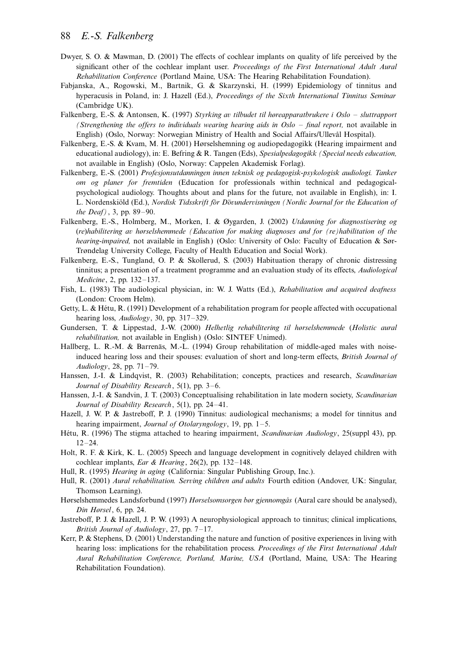#### 88 E.-S. Falkenberg

- Dwyer, S. O. & Mawman, D. (2001) The effects of cochlear implants on quality of life perceived by the significant other of the cochlear implant user. Proceedings of the First International Adult Aural Rehabilitation Conference (Portland Maine, USA: The Hearing Rehabilitation Foundation).
- Fabjanska, A., Rogowski, M., Bartnik, G. & Skarzynski, H. (1999) Epidemiology of tinnitus and hyperacusis in Poland, in: J. Hazell (Ed.), *Proceedings of the Sixth International Tinnitus Seminar* (Cambridge UK).
- Falkenberg, E.-S. & Antonsen, K. (1997) Styrking av tilbudet til høreapparatbrukere i Oslo sluttrapport (Strengthening the offers to individuals wearing hearing aids in Oslo - final report, not available in English) (Oslo, Norway: Norwegian Ministry of Health and Social Affairs/Ullevål Hospital).
- Falkenberg, E.-S. & Kvam, M. H. (2001) Hørselshemning og audiopedagogikk (Hearing impairment and educational audiology), in: E. Befring & R. Tangen (Eds), Spesialpedagogikk (Special needs education, not available in English) (Oslo, Norway: Cappelen Akademisk Forlag).
- Falkenberg, E.-S. (2001) Profesjonsutdanningen innen teknisk og pedagogisk-psykologisk audiologi. Tanker om og planer for fremtiden (Education for professionals within technical and pedagogicalpsychological audiology. Thoughts about and plans for the future, not available in English), in: I. L. Nordenskiöld (Ed.), Nordisk Tidsskrift för Dövundervisningen (Nordic Journal for the Education of the Deaf), 3, pp. 89-90.
- Falkenberg, E.-S., Holmberg, M., Morken, I. & Øygarden, J. (2002) Utdanning for diagnostisering og (re)habilitering av hørselshemmede (Education for making diagnoses and for (re)habilitation of the hearing-impaired, not available in English) (Oslo: University of Oslo: Faculty of Education & Sør-Trøndelag University College, Faculty of Health Education and Social Work).
- Falkenberg, E.-S., Tungland, O. P. & Skollerud, S. (2003) Habituation therapy of chronic distressing tinnitus; a presentation of a treatment programme and an evaluation study of its effects, Audiological Medicine, 2, pp. 132-137.
- Fish, L. (1983) The audiological physician, in: W. J. Watts (Ed.), Rehabilitation and acquired deafness (London: Croom Helm).
- Getty, L.  $\&$  Hétu, R. (1991) Development of a rehabilitation program for people affected with occupational hearing loss, Audiology, 30, pp. 317-329.
- Gundersen, T. & Lippestad, J.-W. (2000) Helhetlig rehabilitering til hørselshemmede (Holistic aural rehabilitation, not available in English) (Oslo: SINTEF Unimed).
- Hallberg, L. R.-M. & Barrenäs, M.-L. (1994) Group rehabilitation of middle-aged males with noiseinduced hearing loss and their spouses: evaluation of short and long-term effects, British Journal of Audiology, 28, pp. 71-79.
- Hanssen, J.-I. & Lindqvist, R. (2003) Rehabilitation; concepts, practices and research, Scandinavian Journal of Disability Research, 5(1), pp. 3–6.
- Hanssen, J.-I. & Sandvin, J. T. (2003) Conceptualising rehabilitation in late modern society, Scandinavian Journal of Disability Research, 5(1), pp. 24-41.
- Hazell, J. W. P. & Jastreboff, P. J. (1990) Tinnitus: audiological mechanisms; a model for tinnitus and hearing impairment, Journal of Otolaryngology, 19, pp. 1-5.
- Hétu, R. (1996) The stigma attached to hearing impairment, Scandinavian Audiology, 25(suppl 43), pp.  $12 - 24$ .
- Holt, R. F. & Kirk, K. L. (2005) Speech and language development in cognitively delayed children with cochlear implants, Ear & Hearing, 26(2), pp. 132-148.
- Hull, R. (1995) Hearing in aging (California: Singular Publishing Group, Inc.).
- Hull, R. (2001) Aural rehabilitation. Serving children and adults Fourth edition (Andover, UK: Singular, Thomson Learning).
- Hørselshemmedes Landsforbund (1997) Hørselsomsorgen bør gjennomgås (Aural care should be analysed), Din Hørsel, 6, pp. 24.
- Jastreboff, P. J. & Hazell, J. P. W. (1993) A neurophysiological approach to tinnitus; clinical implications, British Journal of Audiology, 27, pp. 7-17.
- Kerr, P. & Stephens, D. (2001) Understanding the nature and function of positive experiences in living with hearing loss: implications for the rehabilitation process. Proceedings of the First International Adult Aural Rehabilitation Conference, Portland, Marine, USA (Portland, Maine, USA: The Hearing Rehabilitation Foundation).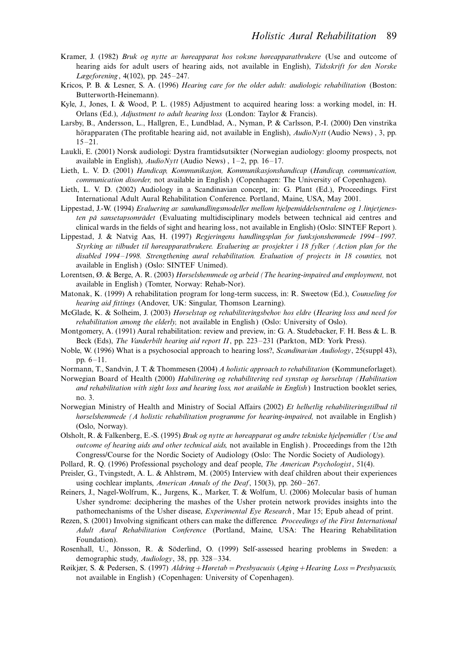- Kramer, J. (1982) Bruk og nytte av høreapparat hos voksne høreapparatbrukere (Use and outcome of hearing aids for adult users of hearing aids, not available in English), Tidsskrift for den Norske Lægeforening, 4(102), pp. 245-247.
- Kricos, P. B. & Lesner, S. A. (1996) Hearing care for the older adult: audiologic rehabilitation (Boston: Butterworth-Heinemann).
- Kyle, J., Jones, I. & Wood, P. L. (1985) Adjustment to acquired hearing loss: a working model, in: H. Orlans (Ed.), Adjustment to adult hearing loss (London: Taylor & Francis).
- Larsby, B., Andersson, L., Hallgren, E., Lundblad, A., Nyman, P. & Carlsson, P.-I. (2000) Den vinstrika hörapparaten (The profitable hearing aid, not available in English), AudioNytt (Audio News), 3, pp. 15-21.
- Laukli, E. (2001) Norsk audiologi: Dystra framtidsutsikter (Norwegian audiology: gloomy prospects, not available in English), AudioNytt (Audio News), 1-2, pp. 16-17.
- Lieth, L. V. D. (2001) Handicap, Kommunikasjon, Kommunikasjonshandicap (Handicap, communication, communication disorder, not available in English) (Copenhagen: The University of Copenhagen).
- Lieth, L. V. D. (2002) Audiology in a Scandinavian concept, in: G. Plant (Ed.), Proceedings. First International Adult Aural Rehabilitation Conference. Portland, Maine, USA, May 2001.
- Lippestad, J.-W. (1994) Evaluering av samhandlingsmodeller mellom hjelpemiddelsentralene og 1.linjetjenesten på sansetapsområdet (Evaluating multidisciplinary models between technical aid centres and clinical wards in the fields of sight and hearing loss, not available in English) (Oslo: SINTEF Report ).
- Lippestad, J. & Natvig Aas, H. (1997) Regjeringens handlingsplan for funksjonshemmede 1994–1997. Styrking av tilbudet til høreapparatbrukere. Evaluering av prosjekter i 18 fylker (Action plan for the disabled 1994-1998. Strengthening aural rehabilitation. Evaluation of projects in 18 counties, not available in English) (Oslo: SINTEF Unimed).
- Lorentsen, Ø. & Berge, A. R. (2003) Hørselshemmede og arbeid (The hearing-impaired and employment, not available in English) (Tomter, Norway: Rehab-Nor).
- Matonak, K. (1999) A rehabilitation program for long-term success, in: R. Sweetow (Ed.), Counseling for hearing aid fittings (Andover, UK: Singular, Thomson Learning).
- McGlade, K. & Solheim, J. (2003) Hørselstap og rehabiliteringsbehov hos eldre (Hearing loss and need for rehabilitation among the elderly, not available in English) (Oslo: University of Oslo).
- Montgomery, A. (1991) Aural rehabilitation: review and preview, in: G. A. Studebacker, F. H. Bess & L. B. Beck (Eds), The Vanderbilt hearing aid report II, pp. 223-231 (Parkton, MD: York Press).
- Noble, W. (1996) What is a psychosocial approach to hearing loss?, Scandinavian Audiology, 25(suppl 43), pp.  $6 - 11$ .
- Normann, T., Sandvin, J. T. & Thommesen (2004) A holistic approach to rehabilitation (Kommuneforlaget).
- Norwegian Board of Health (2000) Habilitering og rehabilitering ved synstap og hørselstap (Habilitation and rehabilitation with sight loss and hearing loss, not available in English) Instruction booklet series, no. 3.
- Norwegian Ministry of Health and Ministry of Social Affairs (2002) Et helhetlig rehabiliteringstilbud til hørselshemmede (A holistic rehabilitation programme for hearing-impaired, not available in English) (Oslo, Norway).
- Olsholt, R. & Falkenberg, E.-S. (1995) Bruk og nytte av høreapparat og andre tekniske hjelpemidler (Use and outcome of hearing aids and other technical aids, not available in English). Proceedings from the 12th Congress/Course for the Nordic Society of Audiology (Oslo: The Nordic Society of Audiology).
- Pollard, R. Q. (1996) Professional psychology and deaf people, The American Psychologist, 51(4).
- Preisler, G., Tvingstedt, A. L. & Ahlstrøm, M. (2005) Interview with deaf children about their experiences using cochlear implants, American Annals of the Deaf, 150(3), pp. 260-267.
- Reiners, J., Nagel-Wolfrum, K., Jurgens, K., Marker, T. & Wolfum, U. (2006) Molecular basis of human Usher syndrome: deciphering the mashes of the Usher protein network provides insights into the pathomechanisms of the Usher disease, *Experimental Eye Research*, Mar 15; Epub ahead of print.
- Rezen, S. (2001) Involving significant others can make the difference. Proceedings of the First International Adult Aural Rehabilitation Conference (Portland, Maine, USA: The Hearing Rehabilitation Foundation).
- Rosenhall, U., Jönsson, R. & Söderlind, O. (1999) Self-assessed hearing problems in Sweden: a demographic study, Audiology, 38, pp. 328-334.
- Røikjær, S. & Pedersen, S. (1997) Aldring + Høretab = Presbyacusis (Aging + Hearing Loss = Presbyacusis, not available in English) (Copenhagen: University of Copenhagen).